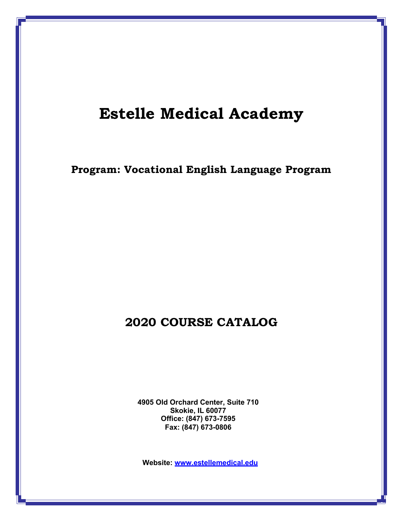# **Estelle Medical Academy**

**Program: Vocational English Language Program**

# **2020 COURSE CATALOG**

**4905 Old Orchard Center, Suite 710 Skokie, IL 60077 Office: (847) 673-7595 Fax: (847) 673-0806**

**Website: [www.estellemedical.edu](http://www.estellemedical.edu/)**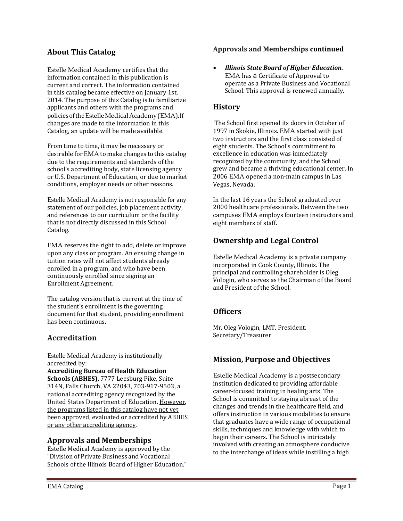### **About This Catalog**

Estelle Medical Academy certifies that the information contained in this publication is current and correct. The information contained in this catalog became effective on January 1st, 2014. The purpose of this Catalog is to familiarize applicants and others with the programs and policiesoftheEstelleMedicalAcademy(EMA).If changes are made to the information in this Catalog, an update will be made available.

From time to time, it may be necessary or desirable for EMA to make changes to this catalog due to the requirements and standards of the school's accrediting body, state licensing agency or U.S. Department of Education, or due to market conditions, employer needs or other reasons.

Estelle Medical Academy is not responsible for any statement of our policies, job placement activity, and references to our curriculum or the facility that is not directly discussed in this School Catalog.

EMA reserves the right to add, delete or improve upon any class or program. An ensuing change in tuition rates will not affect students already enrolled in a program, and who have been continuously enrolled since signing an Enrollment Agreement.

The catalog version that is current at the time of the student's enrollment is the governing document for that student, providing enrollment has been continuous.

### **Accreditation**

Estelle Medical Academy is institutionally accredited by:

**Accrediting Bureau of Health Education Schools (ABHES),** 7777 Leesburg Pike, Suite 314N, Falls Church, VA 22043, 703‐917‐9503, a national accrediting agency recognized by the United States Department of Education. However, the programs listed in this catalog have not yet been approved, evaluated or accredited by ABHES or any other accrediting agency.

### **Approvals and Memberships**

Estelle Medical Academy is approved by the "Division of Private Business and Vocational Schools of the Illinois Board of Higher Education."

#### **Approvals and Memberships continued**

• *Illinois State Board of Higher Education.*  EMA has a Certificate of Approval to operate as a Private Business and Vocational School. This approval is renewed annually.

### **History**

The School first opened its doors in October of 1997 in Skokie, Illinois. EMA started with just two instructors and the first class consisted of eight students. The School's commitment to excellence in education was immediately recognized by the community, and the School grew and became a thriving educational center. In 2006 EMA opened a non‐main campus in Las Vegas, Nevada.

In the last 16 years the School graduated over 2000 healthcare professionals. Between the two campuses EMA employs fourteen instructors and eight members of staff.

# **Ownership and Legal Control**

Estelle Medical Academy is a private company incorporated in Cook County, Illinois. The principal and controlling shareholder is Oleg Vologin, who serves as the Chairman of the Board and President of the School.

### **Officers**

Mr. Oleg Vologin, LMT, President, Secretary/Treasurer

### **Mission, Purpose and Objectives**

Estelle Medical Academy is a postsecondary institution dedicated to providing affordable career‐focused training in healing arts. The School is committed to staying abreast of the changes and trends in the healthcare field, and offers instruction in various modalities to ensure that graduates have a wide range of occupational skills, techniques and knowledge with which to begin their careers. The School is intricately involved with creating an atmosphere conducive to the interchange of ideas while instilling a high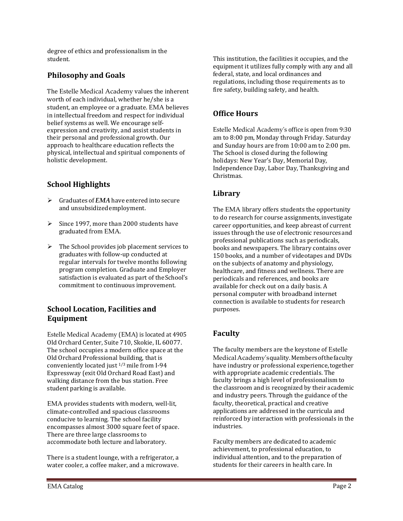degree of ethics and professionalism in the student.

# **Philosophy and Goals**

The Estelle Medical Academy values the inherent worth of each individual, whether he/she is a student, an employee or a graduate. EMA believes in intellectual freedom and respect for individual belief systems as well. We encourage self‐ expression and creativity, and assist students in their personal and professional growth. Our approach to healthcare education reflects the physical, intellectual and spiritual components of holistic development.

# **School Highlights**

- Graduates of *EMA* have entered into secure and unsubsidizedemployment.
- $\triangleright$  Since 1997, more than 2000 students have graduated from EMA.
- $\triangleright$  The School provides job placement services to graduates with follow‐up conducted at regular intervals for twelve months following program completion. Graduate and Employer satisfaction is evaluated as part of the School's commitment to continuous improvement.

## **School Location, Facilities and Equipment**

Estelle Medical Academy (EMA) is located at 4905 Old Orchard Center, Suite 710, Skokie, IL 60077. The school occupies a modern office space at the Old Orchard Professional building, that is conveniently located just 1/3 mile from I‐94 Expressway (exit Old Orchard Road East) and walking distance from the bus station. Free student parking is available.

EMA provides students with modern, well‐lit, climate‐controlled and spacious classrooms conducive to learning. The school facility encompasses almost 3000 square feet of space. There are three large classrooms to accommodate both lecture and laboratory.

There is a student lounge, with a refrigerator, a water cooler, a coffee maker, and a microwave. This institution, the facilities it occupies, and the equipment it utilizes fully comply with any and all federal, state, and local ordinances and regulations, including those requirements as to fire safety, building safety, and health.

# **Office Hours**

Estelle Medical Academy's office is open from 9:30 am to 8:00 pm, Monday through Friday. Saturday and Sunday hours are from 10:00 am to 2:00 pm. The School is closed during the following holidays: New Year's Day, Memorial Day, Independence Day, Labor Day, Thanksgiving and Christmas.

# **Library**

The EMA library offers students the opportunity to do research for course assignments, investigate career opportunities, and keep abreast of current issues through the use of electronic resourcesand professional publications such as periodicals, books and newspapers. The library contains over 150 books, and a number of videotapes and DVDs on the subjects of anatomy and physiology, healthcare, and fitness and wellness. There are periodicals and references, and books are available for check out on a daily basis. A personal computer with broadband internet connection is available to students for research purposes.

# **Faculty**

The faculty members are the keystone of Estelle MedicalAcademy'squality.Membersofthefaculty have industry or professional experience,together with appropriate academic credentials. The faculty brings a high level of professionalism to the classroom and is recognized by their academic and industry peers. Through the guidance of the faculty, theoretical, practical and creative applications are addressed in the curricula and reinforced by interaction with professionals in the industries.

Faculty members are dedicated to academic achievement, to professional education, to individual attention, and to the preparation of students for their careers in health care. In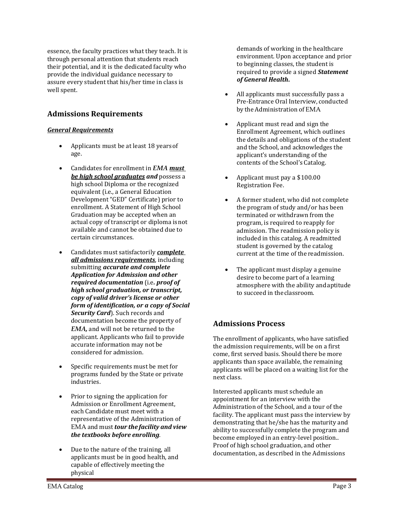essence, the faculty practices what they teach. It is through personal attention that students reach their potential, and it is the dedicated faculty who provide the individual guidance necessary to assure every student that his/her time in class is well spent.

# **Admissions Requirements**

#### *General Requirements*

- Applicants must be at least 18 yearsof age.
- Candidates for enrollment in *EMA must be high school graduates and* possess a high school Diploma or the recognized equivalent (i.e., a General Education Development "GED" Certificate) prior to enrollment. A Statement of High School Graduation may be accepted when an actual copy of transcript or diploma isnot available and cannot be obtained due to certain circumstances.
- Candidates must satisfactorily *complete all admissions requirements*, including submitting *accurate and complete Application for Admission and other required documentation* (i.e*. proof of high school graduation, or transcript, copy of valid driver's license or other form of identification, or a copy of Social Security Card*). Such records and documentation become the property of *EMA,* and will not be returned to the applicant. Applicants who fail to provide accurate information may not be considered for admission.
- Specific requirements must be met for programs funded by the State or private industries.
- Prior to signing the application for Admission or Enrollment Agreement, each Candidate must meet with a representative of the Administration of EMA and must*tour the facility and view the textbooks before enrolling*.
- Due to the nature of the training, all applicants must be in good health, and capable of effectively meeting the physical

demands of working in the healthcare environment. Upon acceptance and prior to beginning classes, the student is required to provide a signed *Statement of General Health***.**

- All applicants must successfully pass a Pre‐Entrance Oral Interview, conducted by the Administration of EMA
- Applicant must read and sign the Enrollment Agreement, which outlines the details and obligations of the student and the School, and acknowledges the applicant's understanding of the contents of the School's Catalog.
- Applicant must pay a \$100.00 Registration Fee.
- A former student, who did not complete the program of study and/or has been terminated or withdrawn from the program, is required to reapply for admission. The readmission policy is included in this catalog. A readmitted student is governed by the catalog current at the time of the readmission.
- The applicant must display a genuine desire to become part of a learning atmosphere with the ability andaptitude to succeed in theclassroom.

# **Admissions Process**

The enrollment of applicants, who have satisfied the admission requirements, will be on a first come, first served basis. Should there be more applicants than space available, the remaining applicants will be placed on a waiting list for the next class.

Interested applicants must schedule an appointment for an interview with the Administration of the School, and a tour of the facility. The applicant must pass the interview by demonstrating that he/she has the maturity and ability to successfully complete the program and become employed in an entry‐level position.. Proof of high school graduation, and other documentation, as described in the Admissions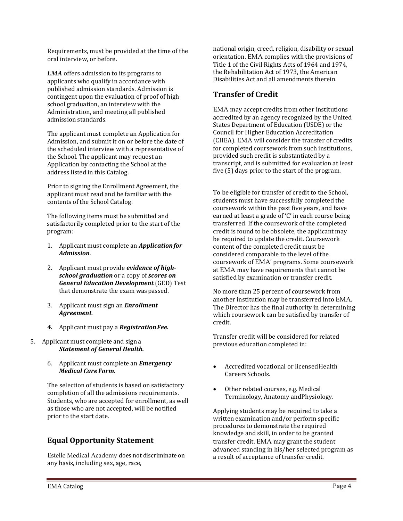Requirements, must be provided at the time of the oral interview, or before.

*EMA* offers admission to its programs to applicants who qualify in accordance with published admission standards. Admission is contingent upon the evaluation of proof of high school graduation, an interview with the Administration, and meeting all published admission standards.

The applicant must complete an Application for Admission, and submit it on or before the date of the scheduled interview with a representative of the School. The applicant may request an Application by contacting the School at the address listed in this Catalog.

Prior to signing the Enrollment Agreement, the applicant must read and be familiar with the contents of the School Catalog.

The following items must be submitted and satisfactorily completed prior to the start of the program:

- 1. Applicant must complete an *Applicationfor Admission*.
- 2. Applicant must provide *evidence of high‐ school graduation* or a copy of *scores on General Education Development* (GED) Test that demonstrate the exam waspassed.
- 3. Applicant must sign an *Enrollment Agreement*.
- *4.* Applicant must pay a *RegistrationFee.*
- 5. Applicant must complete and sign a *Statement of General Health.*
	- 6. Applicant must complete an *Emergency Medical Care Form*.

The selection of students is based on satisfactory completion of all the admissions requirements. Students, who are accepted for enrollment, as well as those who are not accepted, will be notified prior to the start date.

# **Equal Opportunity Statement**

Estelle Medical Academy does not discriminate on any basis, including sex, age, race,

national origin, creed, religion, disability or sexual orientation. EMA complies with the provisions of Title 1 of the Civil Rights Acts of 1964 and 1974, the Rehabilitation Act of 1973, the American Disabilities Act and all amendments therein.

### **Transfer of Credit**

EMA may accept credits from other institutions accredited by an agency recognized by the United States Department of Education (USDE) or the Council for Higher Education Accreditation (CHEA). EMA will consider the transfer of credits for completed coursework from such institutions, provided such credit is substantiated by a transcript, and is submitted for evaluation at least five (5) days prior to the start of the program.

To be eligible for transfer of credit to the School, students must have successfully completed the coursework within the past five years, and have earned at least a grade of 'C' in each course being transferred. If the coursework of the completed credit is found to be obsolete, the applicant may be required to update the credit. Coursework content of the completed credit must be considered comparable to the level of the coursework of EMA' programs. Some coursework at EMA may have requirements that cannot be satisfied by examination or transfer credit.

No more than 25 percent of coursework from another institution may be transferred into EMA. The Director has the final authority in determining which coursework can be satisfied by transfer of credit.

Transfer credit will be considered for related previous education completed in:

- Accredited vocational or licensed Health Careers Schools.
- Other related courses, e.g. Medical Terminology, Anatomy andPhysiology.

Applying students may be required to take a written examination and/or perform specific procedures to demonstrate the required knowledge and skill, in order to be granted transfer credit. EMA may grant the student advanced standing in his/her selected program as a result of acceptance of transfer credit.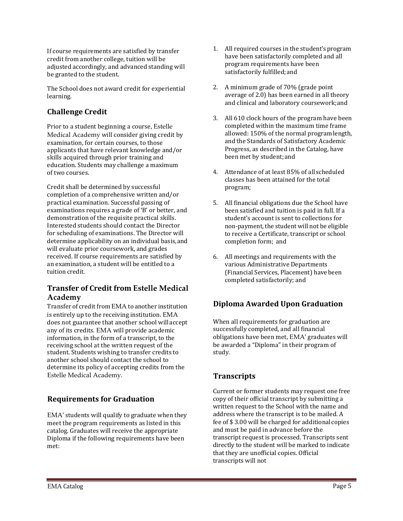If course requirements are satisfied by transfer credit from another college, tuition will be adjusted accordingly, and advanced standing will be granted to the student.

The School does not award credit for experiential learning.

# **Challenge Credit**

Prior to a student beginning a course, Estelle Medical Academy will consider giving credit by examination, for certain courses, to those applicants that have relevant knowledge and/or skills acquired through prior training and education. Students may challenge a maximum of two courses.

Credit shall be determined by successful completion of a comprehensive written and/or practical examination. Successful passing of examinations requires a grade of 'B' or better, and demonstration of the requisite practical skills. Interested students should contact the Director for scheduling of examinations. The Director will determine applicability on an individual basis,and will evaluate prior coursework, and grades received. If course requirements are satisfied by an examination, a student will be entitled to a tuition credit.

# **Transfer of Credit from Estelle Medical Academy**

Transfer of credit from EMA to another institution is entirely up to the receiving institution. EMA does not guarantee that another school willaccept any of its credits. EMA will provide academic information, in the form of a transcript, to the receiving school at the written request of the student. Students wishing to transfer credits to another school should contact the school to determine its policy of accepting credits from the Estelle Medical Academy.

# **Requirements for Graduation**

EMA' students will qualify to graduate when they meet the program requirements as listed in this catalog. Graduates will receive the appropriate Diploma if the following requirements have been met:

- 1. All required courses in the student'sprogram have been satisfactorily completed and all program requirements have been satisfactorily fulfilled;and
- 2. A minimum grade of 70% (grade point average of 2.0) has been earned in all theory and clinical and laboratory coursework;and
- 3. All 610 clock hours of the program have been completed within the maximum time frame allowed: 150% of the normal programlength, and the Standards of Satisfactory Academic Progress, as described in the Catalog, have been met by student; and
- 4. Attendance of at least 85% of all scheduled classes has been attained for the total program;
- 5. All financial obligations due the School have been satisfied and tuition is paid in full. If a student's account is sent to collections for non‐payment, the student will not be eligible to receive a Certificate, transcript or school completion form; and
- 6. All meetings and requirements with the various Administrative Departments (Financial Services, Placement) havebeen completed satisfactorily; and

# **Diploma Awarded Upon Graduation**

When all requirements for graduation are successfully completed, and all financial obligations have been met, EMA' graduates will be awarded a "Diploma" in their program of study.

# **Transcripts**

Current or former students may request one free copy of their official transcript by submitting a written request to the School with the name and address where the transcript is to be mailed. A fee of \$ 3.00 will be charged for additionalcopies and must be paid in advance before the transcript request is processed. Transcripts sent directly to the student will be marked to indicate that they are unofficial copies. Official transcripts will not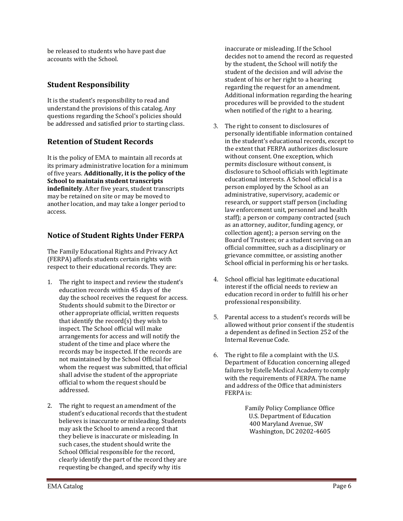be released to students who have past due accounts with the School.

# **Student Responsibility**

It is the student's responsibility to read and understand the provisions of this catalog. Any questions regarding the School's policies should be addressed and satisfied prior to starting class.

# **Retention of Student Records**

It is the policy of EMA to maintain all records at its primary administrative location for a minimum of five years. **Additionally, it is the policy of the School to maintain student transcripts indefinitely**. After five years, student transcripts may be retained on site or may be moved to another location, and may take a longer period to access.

# **Notice of Student Rights Under FERPA**

The Family Educational Rights and Privacy Act (FERPA) affords students certain rights with respect to their educational records. They are:

- 1. The right to inspect and review thestudent's education records within 45 days of the day the school receives the request for access. Students should submit to the Director or other appropriate official, written requests that identify the record(s) they wish to inspect. The School official will make arrangements for access and will notify the student of the time and place where the records may be inspected. If the records are not maintained by the School Official for whom the request was submitted, that official shall advise the student of the appropriate official to whom the request should be addressed.
- 2. The right to request an amendment of the student's educational records that thestudent believes is inaccurate or misleading. Students may ask the School to amend a record that they believe is inaccurate or misleading. In such cases, the student should write the School Official responsible for the record, clearly identify the part of the record they are requesting be changed, and specify why itis

inaccurate or misleading. If the School decides not to amend the record as requested by the student, the School will notify the student of the decision and will advise the student of his or her right to a hearing regarding the request for an amendment. Additional information regarding the hearing procedures will be provided to the student when notified of the right to a hearing.

- 3. The right to consent to disclosures of personally identifiable information contained in the student's educational records, except to the extent that FERPA authorizes disclosure without consent. One exception, which permits disclosure without consent, is disclosure to School officials with legitimate educational interests. A School official is a person employed by the School as an administrative, supervisory, academic or research, or support staff person (including law enforcement unit, personnel and health staff); a person or company contracted (such as an attorney, auditor, funding agency, or collection agent); a person serving on the Board of Trustees; or a student serving on an official committee, such as a disciplinary or grievance committee, or assisting another School official in performing his or her tasks.
- 4. School official has legitimate educational interest if the official needs to review an education record in order to fulfill his orher professional responsibility.
- 5. Parental access to a student's records will be allowed without prior consent if the studentis a dependent as defined in Section 252 of the Internal Revenue Code.
- 6. The right to file a complaint with the U.S. Department of Education concerning alleged failures by Estelle Medical Academy to comply with the requirements of FERPA. The name and address of the Office that administers FERPA is:

Family Policy Compliance Office U.S. Department of Education 400 Maryland Avenue, SW Washington, DC 20202‐4605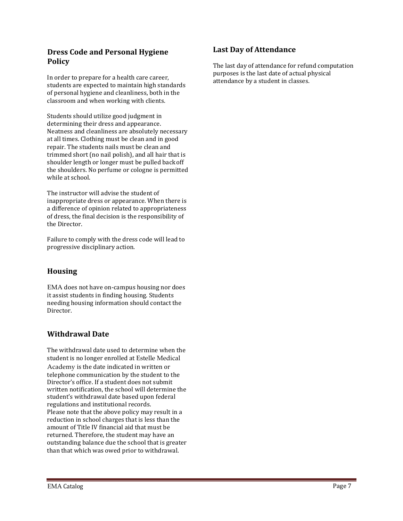## **Dress Code and Personal Hygiene Policy**

In order to prepare for a health care career, students are expected to maintain high standards of personal hygiene and cleanliness, both in the classroom and when working with clients.

Students should utilize good judgment in determining their dress and appearance. Neatness and cleanliness are absolutely necessary at all times. Clothing must be clean and in good repair. The students nails must be clean and trimmed short (no nail polish), and all hair that is shoulder length or longer must be pulled back off the shoulders. No perfume or cologne is permitted while at school.

The instructor will advise the student of inappropriate dress or appearance. When there is a difference of opinion related to appropriateness of dress, the final decision is the responsibility of the Director.

Failure to comply with the dress code will lead to progressive disciplinary action.

# **Housing**

EMA does not have on‐campus housing nor does it assist students in finding housing. Students needing housing information should contact the Director.

# **Withdrawal Date**

The withdrawal date used to determine when the student is no longer enrolled at Estelle Medical Academy is the date indicated in written or telephone communication by the student to the Director's office. If a student does not submit written notification, the school will determine the student's withdrawal date based upon federal regulations and institutional records. Please note that the above policy may result in a reduction in school charges that is less than the amount of Title IV financial aid that must be returned. Therefore, the student may have an outstanding balance due the school that is greater than that which was owed prior to withdrawal.

# **Last Day of Attendance**

The last day of attendance for refund computation purposes is the last date of actual physical attendance by a student in classes.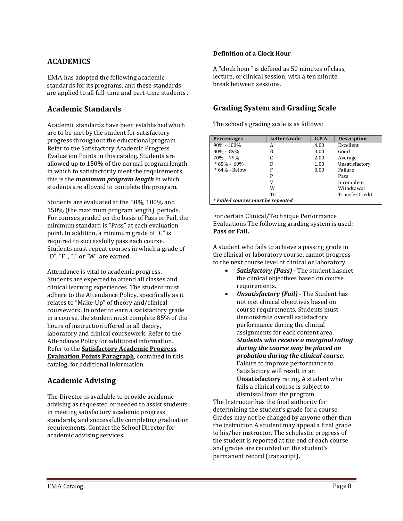# **ACADEMICS**

EMA has adopted the following academic standards for its programs, and these standards are applied to all full‐time and part‐time students .

### **Academic Standards**

Academic standards have been establishedwhich are to be met by the student for satisfactory progress throughout the educational program. Refer to the Satisfactory Academic Progress Evaluation Points in this catalog. Students are allowed up to 150% of the normal programlength in which to satisfactorily meet the requirements; this is the *maximum program length* in which students are allowed to complete the program.

Students are evaluated at the 50%, 100% and 150% (the maximum program length). periods. For courses graded on the basis of Pass or Fail, the minimum standard is "Pass" at each evaluation point. In addition, a minimum grade of "C" is required to successfully pass each course. Students must repeat courses in which a grade of "D", "F", "I" or "W" are earned.

Attendance is vital to academic progress. Students are expected to attend all classes and clinical learning experiences. The student must adhere to the Attendance Policy, specifically as it relates to "Make‐Up" of theory and/clinical coursework. In order to earn a satisfactory grade in a course, the student must complete 85% of the hours of instruction offered in all theory, laboratory and clinical coursework. Refer to the Attendance Policy for additionalinformation. Refer to the **Satisfactory Academic Progress Evaluation Points Paragraph**, contained in this catalog, for additional information.

### **Academic Advising**

The Director is available to provide academic advising as requested or needed to assist students in meeting satisfactory academic progress standards, and successfully completing graduation requirements. Contact the School Director for academic advising services.

#### **Definition of a Clock Hour**

A "clock hour" is defined as 50 minutes of class, lecture, or clinical session, with a ten minute break between sessions.

# **Grading System and Grading Scale**

The school's grading scale is as follows:

| <b>Percentages</b>                | <b>Letter Grade</b> | G.P.A. | <b>Description</b> |  |  |
|-----------------------------------|---------------------|--------|--------------------|--|--|
| $90\% - 100\%$                    | А                   | 4.00   | Excellent          |  |  |
| 80% - 89%                         | B                   | 3.00   | Good               |  |  |
| 70% - 79%                         | C                   | 2.00   | Average            |  |  |
| $*65% - 69%$                      | D                   | 1.00   | Unsatisfactory     |  |  |
| * 64% - Below                     | F                   | 0.00   | Failure            |  |  |
|                                   | P                   |        | Pass               |  |  |
|                                   | V                   |        | Incomplete         |  |  |
|                                   | W                   |        | Withdrawal         |  |  |
|                                   | TC.                 |        | Transfer Credit    |  |  |
| * Failed courses must be repeated |                     |        |                    |  |  |

For certain Clinical/Technique Performance Evaluations The following grading system is used: **Pass or Fail.**

A student who fails to achieve a passing grade in the clinical or laboratory course, cannot progress to the next course level of clinical or laboratory.

- *Satisfactory (Pass) ‐* The student hasmet the clinical objectives based on course requirements.
- *Unsatisfactory (Fail) ‐* The Student has not met clinical objectives based on course requirements. Students must demonstrate overall satisfactory performance during the clinical assignments for each content area. *Students who receive a marginal rating during the course may be placed on probation during the clinical course.*  Failure to improve performance to Satisfactory will result in an **Unsatisfactory** rating. A student who fails a clinical course is subject to dismissal from the program.

The Instructor has the final authority for determining the student's grade for a course. Grades may not be changed by anyone other than the instructor. A student may appeal a final grade to his/her instructor. The scholastic progress of the student is reported at the end of each course and grades are recorded on the student's permanent record (transcript).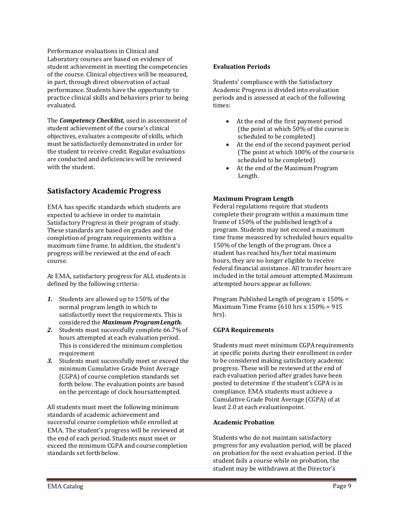Performance evaluations in Clinical and Laboratory courses are based on evidence of student achievement in meeting the competencies of the course. Clinical objectives will be measured, in part, through direct observation of actual performance. Students have the opportunity to practice clinical skills and behaviors prior to being evaluated.

The *Competency Checklist,* used in assessment of student achievement of the course's clinical objectives, evaluates a composite of skills, which must be satisfactorily demonstrated in order for the student to receive credit. Regular evaluations are conducted and deficiencies will be reviewed with the student.

## **Satisfactory Academic Progress**

EMA has specific standards which students are expected to achieve in order to maintain Satisfactory Progress in their program of study. These standards are based on grades and the completion of program requirements within a maximum time frame. In addition, the student's progress will be reviewed at the end of each course.

At EMA, satisfactory progress for ALL students is defined by the following criteria:

- *1.* Students are allowed up to 150% of the normal program length in which to satisfactorily meet the requirements. This is considered the *Maximum ProgramLength.*
- *2.* Students must successfully complete 66.7%of hours attempted at each evaluation period. This is considered the minimum completion requirement
- *3.* Students must successfully meet or exceed the minimum Cumulative Grade Point Average (CGPA) of course completion standards set forth below. The evaluation points are based on the percentage of clock hoursattempted.

All students must meet the following minimum standards of academic achievement and successful course completion while enrolled at EMA. The student's progress will be reviewed at the end of each period. Students must meet or exceed the minimum CGPA and coursecompletion standards set forth below.

#### **Evaluation Periods**

Students' compliance with the Satisfactory Academic Progress is divided into evaluation periods and is assessed at each of the following times:

- At the end of the first payment period (the point at which 50% of the course is scheduled to be completed)
- At the end of the second payment period (The point at which 100% of the courseis scheduled to be completed)
- At the end of the Maximum Program Length.

#### **Maximum Program Length**

Federal regulations require that students complete their program within a maximum time frame of 150% of the published length of a program. Students may not exceed a maximum time frame measured by scheduled hours equalto 150% of the length of the program. Once a student has reached his/her total maximum hours, they are no longer eligible to receive federal financial assistance. All transfer hours are included in the total amount attempted.Maximum attempted hours appear as follows:

Program Published Length of program x 150% = Maximum Time Frame (610 hrs x 150% = 915 hrs).

#### **CGPA Requirements**

Students must meet minimum CGPArequirements at specific points during their enrollment in order to be considered making satisfactory academic progress. These will be reviewed at the end of each evaluation period after grades have been posted to determine if the student's CGPA is in compliance. EMA students must achieve a Cumulative Grade Point Average (CGPA) of at least 2.0 at each evaluationpoint.

#### **Academic Probation**

Students who do not maintain satisfactory progress for any evaluation period, will be placed on probation for the next evaluation period. If the student fails a course while on probation, the student may be withdrawn at the Director's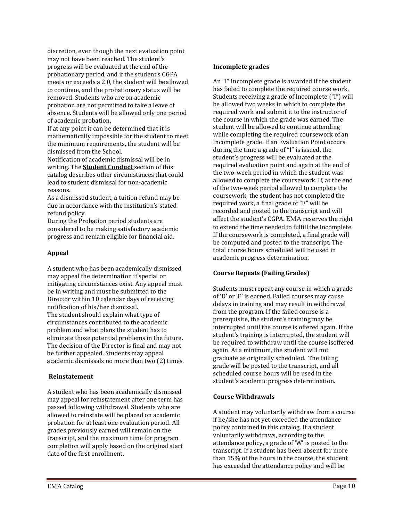discretion, even though the next evaluation point may not have been reached. The student's progress will be evaluated at the end of the probationary period, and if the student's CGPA meets or exceeds a 2.0, the student will beallowed to continue, and the probationary status will be removed. Students who are on academic probation are not permitted to take a leave of absence. Students will be allowed only one period of academic probation.

If at any point it can be determined that it is mathematically impossible for the student to meet the minimum requirements, the student will be dismissed from the School.

Notification of academic dismissal will be in writing. The **Student Conduct** section of this catalog describes other circumstances that could lead to student dismissal for non‐academic reasons.

As a dismissed student, a tuition refund may be due in accordance with the institution's stated refund policy.

During the Probation period students are considered to be making satisfactory academic progress and remain eligible for financial aid.

### **Appeal**

A student who has been academically dismissed may appeal the determination if special or mitigating circumstances exist. Any appeal must be in writing and must be submitted to the Director within 10 calendar days of receiving notification of his/her dismissal. The student should explain what type of circumstances contributed to the academic problem and what plans the student has to eliminate those potential problems in the future. The decision of the Director is final and may not be further appealed. Students may appeal academic dismissals no more than two (2) times.

#### **Reinstatement**

A student who has been academically dismissed may appeal for reinstatement after one term has passed following withdrawal. Students who are allowed to reinstate will be placed on academic probation for at least one evaluation period. All grades previously earned will remain on the transcript, and the maximum time for program completion will apply based on the original start date of the first enrollment.

#### **Incomplete grades**

An "I" Incomplete grade is awarded if the student has failed to complete the required course work. Students receiving a grade of Incomplete ("I") will be allowed two weeks in which to complete the required work and submit it to the instructor of the course in which the grade was earned. The student will be allowed to continue attending while completing the required coursework of an Incomplete grade. If an Evaluation Point occurs during the time a grade of "I" is issued, the student's progress will be evaluated at the required evaluation point and again at the end of the two‐week period in which the student was allowed to complete the coursework. If, at the end of the two‐week period allowed to complete the coursework, the student has not completed the required work, a final grade of "F" will be recorded and posted to the transcript and will affect the student's CGPA. EMA reserves the right to extend the time needed to fulfill the Incomplete. If the coursework is completed, a final grade will be computed and posted to the transcript. The total course hours scheduled will be used in academic progress determination.

#### **Course Repeats (FailingGrades)**

Students must repeat any course in which a grade of 'D' or 'F' is earned. Failed courses may cause delays in training and may result in withdrawal from the program. If the failed course is a prerequisite, the student's training may be interrupted until the course is offered again. If the student's training is interrupted, the student will be required to withdraw until the course isoffered again. At a minimum, the student will not graduate as originally scheduled. The failing grade will be posted to the transcript, and all scheduled course hours will be used in the student's academic progress determination.

#### **Course Withdrawals**

A student may voluntarily withdraw from a course if he/she has not yet exceeded the attendance policy contained in this catalog. If a student voluntarily withdraws, according to the attendance policy, a grade of 'W' is posted to the transcript. If a student has been absent for more than 15% of the hours in the course, the student has exceeded the attendance policy and will be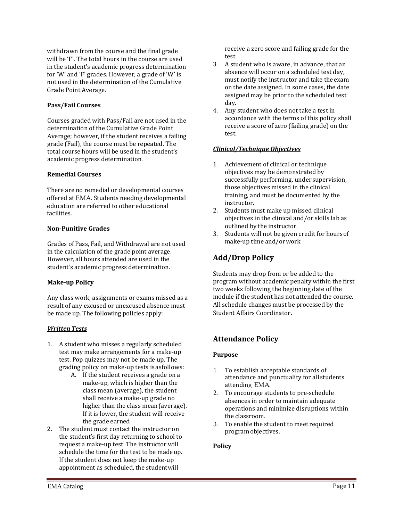withdrawn from the course and the final grade will be 'F'. The total hours in the course are used in the student's academic progress determination for 'W' and 'F' grades. However, a grade of 'W' is not used in the determination of the Cumulative Grade Point Average.

#### **Pass/Fail Courses**

Courses graded with Pass/Fail are not used in the determination of the Cumulative Grade Point Average; however, if the student receives a failing grade (Fail), the course must be repeated. The total course hours will be used in the student's academic progress determination.

#### **Remedial Courses**

There are no remedial or developmental courses offered at EMA. Students needing developmental education are referred to other educational facilities.

#### **Non‐Punitive Grades**

Grades of Pass, Fail, and Withdrawal are not used in the calculation of the grade point average. However, all hours attended are used in the student's academic progress determination.

#### **Make‐up Policy**

Any class work, assignments or exams missed as a result of any excused or unexcused absence must be made up. The following policies apply:

#### *Written Tests*

- 1. A student who misses a regularly scheduled test may make arrangements for a make‐up test. Pop quizzes may not be made up. The grading policy on make‐up tests isasfollows:
	- A. If the student receives a grade on a make‐up, which is higher than the class mean (average), the student shall receive a make‐up grade no higher than the class mean(average). If it is lower, the student will receive the grade earned
- 2. The student must contact the instructor on the student's first day returning to school to request a make‐up test. The instructor will schedule the time for the test to be madeup. If the student does not keep the make‐up appointment as scheduled, the studentwill

receive a zero score and failing grade for the test.

- 3. A student who is aware, in advance, that an absence will occur on a scheduled test day, must notify the instructor and take the exam on the date assigned. In some cases, the date assigned may be prior to the scheduled test day.
- 4. Any student who does not take a test in accordance with the terms of this policy shall receive a score of zero (failing grade) on the test.

#### *Clinical/Technique Objectives*

- 1. Achievement of clinical or technique objectives may be demonstrated by successfully performing, undersupervision, those objectives missed in the clinical training, and must be documented by the instructor.
- 2. Students must make up missed clinical objectives in the clinical and/or skills lab as outlined by the instructor.
- 3. Students will not be given credit for hoursof make‐up time and/orwork

### **Add/Drop Policy**

Students may drop from or be added to the program without academic penalty within the first two weeks following the beginning date of the module if the student has not attended the course. All schedule changes must be processed by the Student Affairs Coordinator.

### **Attendance Policy**

#### **Purpose**

- 1. To establish acceptable standards of attendance and punctuality for all students attending EMA.
- 2. To encourage students to pre‐schedule absences in order to maintain adequate operations and minimize disruptions within the classroom.
- 3. To enable the student to meet required programobjectives.

#### **Policy**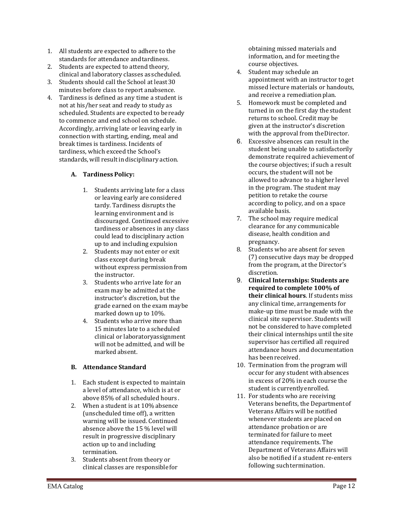- 1. All students are expected to adhere to the standards for attendance andtardiness.
- 2. Students are expected to attend theory, clinical and laboratory classes asscheduled.
- 3. Students should call the School at least30 minutes before class to report anabsence.
- 4. Tardiness is defined as any time a student is not at his/her seat and ready to study as scheduled. Students are expected to beready to commence and end school on schedule. Accordingly, arriving late or leaving early in connection with starting, ending, meal and break times is tardiness. Incidents of tardiness, which exceed the School's standards, will result in disciplinary action.

#### **A. Tardiness Policy:**

- 1. Students arriving late for a class or leaving early are considered tardy. Tardiness disrupts the learning environment and is discouraged. Continued excessive tardiness or absences in any class could lead to disciplinary action up to and including expulsion
- 2. Students may not enter or exit class except during break without express permission from the instructor.
- 3. Students who arrive late for an exam may be admitted at the instructor's discretion, but the grade earned on the exam maybe marked down up to 10%.
- 4. Students who arrive more than 15 minutes late to a scheduled clinical or laboratoryassignment will not be admitted, and will be marked absent.

### **B. Attendance Standard**

- 1. Each student is expected to maintain a level of attendance, which is at or above 85% of all scheduled hours .
- 2. When a student is at 10%absence (unscheduled time off), a written warning will be issued. Continued absence above the 15 % level will result in progressive disciplinary action up to and including termination.
- 3. Students absent from theory or clinical classes are responsible for

obtaining missed materials and information, and for meeting the course objectives.

- 4. Student may schedule an appointment with an instructor to get missed lecture materials or handouts, and receive a remediation plan.
- 5. Homework must be completed and turned in on the first day the student returns to school. Credit may be given at the instructor's discretion with the approval from theDirector.
- 6. Excessive absences can result in the student being unable to satisfactorily demonstrate required achievement of the course objectives; if such a result occurs, the student will not be allowed to advance to a higher level in the program. The student may petition to retake the course according to policy, and on a space available basis.
- 7. The school may require medical clearance for any communicable disease, health condition and pregnancy.
- 8. Students who are absent for seven (7) consecutive days may be dropped from the program, at the Director's discretion.
- 9. **Clinical Internships: Students are required to complete 100% of their clinical hours**. If students miss any clinical time, arrangements for make‐up time must be made with the clinical site supervisor. Students will not be considered to have completed their clinical internships until the site supervisor has certified all required attendance hours and documentation has been received.
- 10. Termination from the program will occur for any student with absences in excess of 20% in each course the student is currentlyenrolled.
- 11. For students who are receiving Veterans benefits, the Departmentof Veterans Affairs will be notified whenever students are placed on attendance probation or are terminated for failure to meet attendance requirements. The Department of Veterans Affairs will also be notified if a student re‐enters following such termination.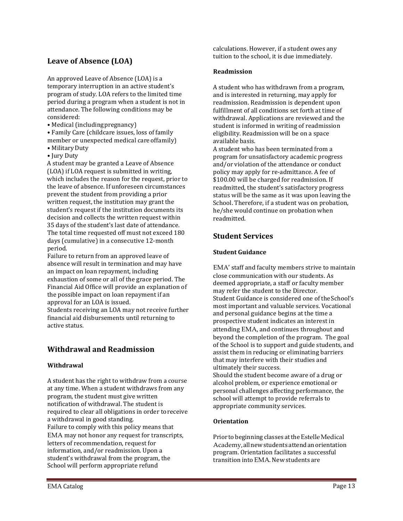# **Leave of Absence (LOA)**

An approved Leave of Absence (LOA) is a temporary interruption in an active student's program of study. LOA refers to the limited time period during a program when a student is not in attendance. The following conditions may be considered:

- Medical (including pregnancy)
- Family Care (childcare issues, loss of family member or unexpected medical care offamily) • Military Duty
- 
- Jury Duty

A student may be granted a Leave of Absence (LOA) if LOA request is submitted in writing, which includes the reason for the request, prior to the leave of absence. If unforeseen circumstances prevent the student from providing a prior written request, the institution may grant the student's request if the institution documents its decision and collects the written request within 35 days of the student's last date of attendance. The total time requested off must not exceed 180 days (cumulative) in a consecutive 12‐month period.

Failure to return from an approved leave of absence will result in termination and may have an impact on loan repayment, including exhaustion of some or all of the grace period. The Financial Aid Office will provide an explanation of the possible impact on loan repayment if an approval for an LOA is issued.

Students receiving an LOA may not receive further financial aid disbursements until returning to active status.

### **Withdrawal and Readmission**

#### **Withdrawal**

A student has the right to withdraw from a course at any time. When a student withdraws from any program, the student must give written notification of withdrawal. The student is required to clear all obligations in order toreceive a withdrawal in good standing. Failure to comply with this policy means that EMA may not honor any request for transcripts, letters of recommendation, request for information, and/or readmission. Upon a student's withdrawal from the program, the School will perform appropriate refund

calculations. However, if a student owes any tuition to the school, it is due immediately.

#### **Readmission**

A student who has withdrawn from a program, and is interested in returning, may apply for readmission. Readmission is dependent upon fulfillment of all conditions set forth at time of withdrawal. Applications are reviewed and the student is informed in writing of readmission eligibility. Readmission will be on a space available basis.

A student who has been terminated from a program for unsatisfactory academic progress and/or violation of the attendance or conduct policy may apply for re‐admittance. A fee of \$100.00 will be charged for readmission. If readmitted, the student's satisfactory progress status will be the same as it was upon leaving the School. Therefore, if a student was on probation, he/she would continue on probation when readmitted.

### **Student Services**

#### **Student Guidance**

EMA' staff and faculty members strive to maintain close communication with our students. As deemed appropriate, a staff or faculty member may refer the student to the Director. Student Guidance is considered one of theSchool's most important and valuable services. Vocational and personal guidance begins at the time a prospective student indicates an interest in attending EMA, and continues throughout and beyond the completion of the program. The goal of the School is to support and guide students, and assist them in reducing or eliminating barriers that may interfere with their studies and ultimately their success. Should the student become aware of a drug or

alcohol problem, or experience emotional or personal challenges affecting performance, the school will attempt to provide referrals to appropriate community services.

#### **Orientation**

Prior to beginning classes at the Estelle Medical Academy,allnewstudents attendanorientation program. Orientation facilitates a successful transition into EMA. New students are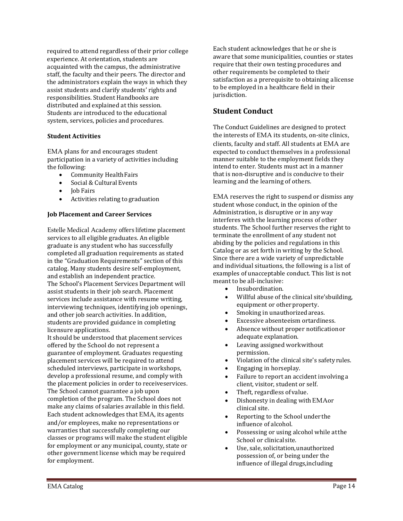required to attend regardless of their prior college experience. At orientation, students are acquainted with the campus, the administrative staff, the faculty and their peers. The director and the administrators explain the ways in which they assist students and clarify students' rights and responsibilities. Student Handbooks are distributed and explained at this session. Students are introduced to the educational system, services, policies and procedures.

#### **Student Activities**

EMA plans for and encourages student participation in a variety of activities including the following:

- Community Health Fairs
- Social & Cultural Events
- Job Fairs
- Activities relating to graduation

#### **Job Placement and Career Services**

Estelle Medical Academy offers lifetime placement services to all eligible graduates. An eligible graduate is any student who has successfully completed all graduation requirements as stated in the "Graduation Requirements" section of this catalog. Many students desire self‐employment, and establish an independent practice. The School's Placement Services Department will assist students in their job search. Placement services include assistance with resume writing, interviewing techniques, identifying job openings, and other job search activities. In addition, students are provided guidance in completing licensure applications.

It should be understood that placement services offered by the School do not represent a guarantee of employment. Graduates requesting placement services will be required to attend scheduled interviews, participate in workshops, develop a professional resume, and comply with the placement policies in order to receiveservices. The School cannot guarantee a job upon completion of the program. The School does not make any claims of salaries available in this field. Each student acknowledges that EMA, its agents and/or employees, make no representations or warranties that successfully completing our classes or programs will make the student eligible for employment or any municipal, county, state or other government license which may be required for employment.

Each student acknowledges that he or she is aware that some municipalities, counties or states require that their own testing procedures and other requirements be completed to their satisfaction as a prerequisite to obtaining alicense to be employed in a healthcare field in their jurisdiction.

### **Student Conduct**

The Conduct Guidelines are designed to protect the interests of EMA its students, on‐site clinics, clients, faculty and staff. All students at EMA are expected to conduct themselves in a professional manner suitable to the employment fields they intend to enter. Students must act in a manner that is non‐disruptive and is conducive to their learning and the learning of others.

EMA reserves the right to suspend or dismiss any student whose conduct, in the opinion of the Administration, is disruptive or in any way interferes with the learning process of other students. The School further reserves the right to terminate the enrollment of any student not abiding by the policies and regulations in this Catalog or as set forth in writing by the School. Since there are a wide variety of unpredictable and individual situations, the following is a list of examples of unacceptable conduct. This list is not meant to be all-inclusive:<br>■ Insubordination

- Insubordination.
- Willful abuse of the clinical site'sbuilding, equipment or other property.
- Smoking in unauthorizedareas.
- Excessive absenteeism ortardiness.
- Absence without proper notificationor adequate explanation.
- Leaving assigned workwithout permission.
- Violation of the clinical site's safetyrules.
- Engaging in horseplay.
- Failure to report an accident involving a client, visitor, student or self.
- Theft, regardless of value.<br>• Dishonesty in dealing with
- Dishonesty in dealing withEMAor clinical site.
- Reporting to the School under the influence of alcohol.
- Possessing or using alcohol while atthe School or clinical site.
- Use, sale, solicitation,unauthorized possession of, or being under the influence of illegal drugs,including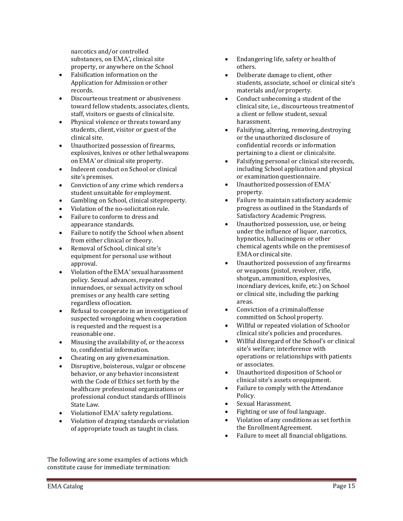narcotics and/or controlled substances, on EMA'*,* clinical site property, or anywhere on the School

- Falsification information on the Application for Admission orother records.
- Discourteous treatment or abusiveness toward fellow students, associates, clients, staff, visitors or guests of clinical site.
- Physical violence or threats toward any students, client, visitor or guest of the clinical site.
- Unauthorized possession of firearms, explosives, knives or other lethalweapons on EMA' or clinical site property.
- Indecent conduct on School or clinical site's premises.
- Conviction of any crime which renders a student unsuitable for employment.
- Gambling on School, clinical siteproperty.
- Violation of the no‐solicitationrule.
- Failure to conform to dress and appearance standards.
- Failure to notify the School when absent from either clinical or theory.
- Removal of School, clinical site's equipment for personal use without approval.
- Violation oftheEMA' sexual harassment policy. Sexual advances, repeated innuendoes, or sexual activity on school premises or any health care setting regardless oflocation.
- Refusal to cooperate in an investigationof suspected wrongdoing when cooperation is requested and the request is a reasonable one.
- Misusing the availability of, or the access to, confidential information.
- Cheating on any givenexamination.
- Disruptive, boisterous, vulgar or obscene behavior, or any behavior inconsistent with the Code of Ethics set forth by the healthcare professional organizations or professional conduct standards ofIllinois State Law.
- Violationof EMA' safety regulations.<br>• Violation of draping standards or viol
- Violation of draping standards orviolation of appropriate touch as taught in class.

The following are some examples of actions which constitute cause for immediate termination:

- Endangering life, safety or healthof others.
- Deliberate damage to client, other students, associate, school or clinical site's materials and/orproperty.
- Conduct unbecoming a student of the clinical site, i.e., discourteous treatmentof a client or fellow student, sexual harassment.
- Falsifying, altering, removing, destroying or the unauthorized disclosure of confidential records or information pertaining to a client or clinicalsite.
- Falsifying personal or clinical site records, including School application and physical or examinationquestionnaire.
- Unauthorized possession of EMA' property.
- Failure to maintain satisfactory academic progress as outlined in the Standards of Satisfactory Academic Progress.
- Unauthorized possession, use, or being under the influence of liquor, narcotics, hypnotics, hallucinogens or other chemical agents while on the premisesof EMAorclinical site.
- Unauthorized possession of anyfirearms or weapons (pistol, revolver, rifle, shotgun, ammunition, explosives, incendiary devices, knife, etc.) on School or clinical site, including the parking areas.
- Conviction of a criminaloffense committed on School property.
- Willful or repeated violation of Schoolor clinical site's policies and procedures.
- Willful disregard of the School's or clinical site's welfare; interference with operations or relationships with patients or associates.
- Unauthorized disposition of Schoolor clinical site's assets orequipment.
- Failure to comply with the Attendance Policy.
- Sexual Harassment.
- Fighting or use of foul language.
- Violation of any conditions as set forthin the Enrollment Agreement.
- Failure to meet all financial obligations.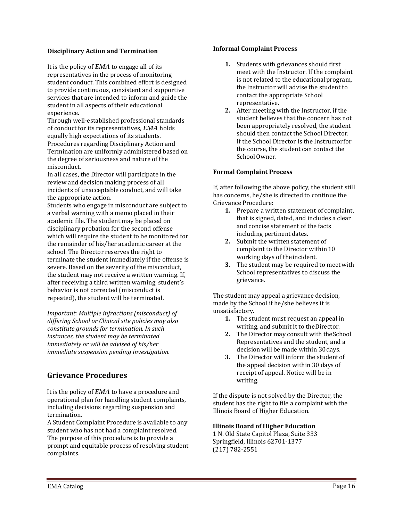#### **Disciplinary Action and Termination**

It is the policy of *EMA* to engage all of its representatives in the process of monitoring student conduct. This combined effort is designed to provide continuous, consistent and supportive services that are intended to inform and guide the student in all aspects of their educational experience.

Through well‐established professional standards of conduct for its representatives, *EMA* holds equally high expectations of its students. Procedures regarding Disciplinary Action and Termination are uniformly administered based on the degree of seriousness and nature of the misconduct.

In all cases, the Director will participate in the review and decision making process of all incidents of unacceptable conduct, and will take the appropriate action.

Students who engage in misconduct are subject to a verbal warning with a memo placed in their academic file. The student may be placed on disciplinary probation for the second offense which will require the student to be monitored for the remainder of his/her academic career at the school. The Director reserves the right to terminate the student immediately if the offense is severe. Based on the severity of the misconduct, the student may not receive a written warning. If, after receiving a third written warning, student's behavior is not corrected (misconduct is repeated), the student will be terminated.

*Important: Multiple infractions (misconduct) of differing School or Clinical site policies may also constitute grounds for termination. In such instances, the student may be terminated immediately or will be advised of his/her immediate suspension pending investigation.*

### **Grievance Procedures**

It is the policy of *EMA* to have a procedure and operational plan for handling student complaints, including decisions regarding suspension and termination.

A Student Complaint Procedure is available to any student who has not had a complaint resolved. The purpose of this procedure is to provide a prompt and equitable process of resolving student complaints.

#### **Informal Complaint Process**

- **1.** Students with grievances should first meet with the Instructor. If the complaint is not related to the educationalprogram, the Instructor will advise the student to contact the appropriate School representative.
- **2.** After meeting with the Instructor, if the student believes that the concern has not been appropriately resolved, the student should then contact the School Director. If the School Director is the Instructorfor the course, the student can contact the School Owner.

#### **Formal Complaint Process**

If, after following the above policy, the student still has concerns, he/she is directed to continue the Grievance Procedure:

- **1.** Prepare a written statement of complaint, that is signed, dated, and includes a clear and concise statement of the facts including pertinent dates.
- **2.** Submit the written statement of complaint to the Director within10 working days of theincident.
- **3.** The student may be required to meetwith School representatives to discuss the grievance.

The student may appeal a grievance decision, made by the School if he/she believes it is unsatisfactory.

- **1.** The student must request an appeal in writing, and submit it to theDirector.
- **2.** The Director may consult with theSchool Representatives and the student, and a decision will be made within 30days.
- **3.** The Director will inform the studentof the appeal decision within 30 days of receipt of appeal. Notice will be in writing.

If the dispute is not solved by the Director, the student has the right to file a complaint with the Illinois Board of Higher Education.

#### **Illinois Board of Higher Education**

1 N. Old State Capitol Plaza, Suite 333 Springfield, Illinois 62701‐1377 (217) 782‐2551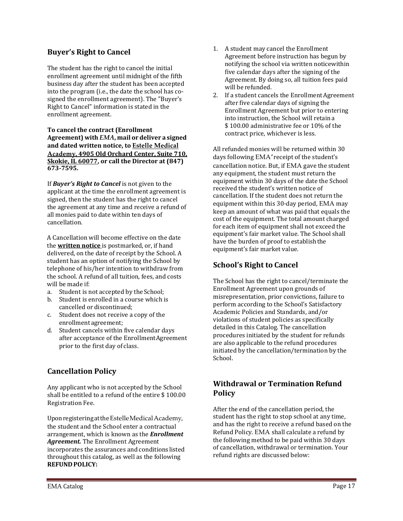### **Buyer's Right to Cancel**

The student has the right to cancel the initial enrollment agreement until midnight of the fifth business day after the student has been accepted into the program (i.e., the date the school has co‐ signed the enrollment agreement). The "Buyer's Right to Cancel" information is stated in the enrollment agreement.

**To cancel the contract (Enrollment Agreement) with** *EMA***, mail or deliver a signed and dated written notice, to Estelle Medical Academy, 4905 Old Orchard Center, Suite 710, Skokie, IL 60077, or call the Director at (847) 673‐7595.**

If *Buyer's Right to Cancel* is not given to the applicant at the time the enrollment agreement is signed, then the student has the right to cancel the agreement at any time and receive a refund of all monies paid to date within ten days of cancellation.

A Cancellation will become effective on the date the **written notice** is postmarked, or, if hand delivered, on the date of receipt by the School. A student has an option of notifying the School by telephone of his/her intention to withdraw from the school. A refund of all tuition, fees, and costs will be made if:

- a. Student is not accepted by the School;
- b. Student is enrolled in a course which is cancelled or discontinued;
- c. Student does not receive a copy of the enrollment agreement;
- d. Student cancels within five calendar days after acceptance of the EnrollmentAgreement prior to the first day of class.

# **Cancellation Policy**

Any applicant who is not accepted by the School shall be entitled to a refund of the entire \$ 100.00 Registration Fee.

UponregisteringattheEstelleMedicalAcademy, the student and the School enter a contractual arrangement, which is known as the *Enrollment Agreement.* The Enrollment Agreement incorporates the assurances and conditions listed throughout this catalog, as well as the following **REFUNDPOLICY:**

- 1. A student may cancel the Enrollment Agreement before instruction has begun by notifying the school via written noticewithin five calendar days after the signing of the Agreement. By doing so, all tuition fees paid will be refunded.
- 2. If a student cancels the Enrollment Agreement after five calendar days of signing the Enrollment Agreement but prior to entering into instruction, the School will retaina \$ 100.00 administrative fee or 10% of the contract price, whichever is less.

All refunded monies will be returned within 30 days following EMA*'* receipt of the student's cancellation notice. But, if EMA gave the student any equipment, the student must return the equipment within 30 days of the date the School received the student's written notice of cancellation. If the student does not return the equipment within this 30‐day period, EMA may keep an amount of what was paid that equals the cost of the equipment. The total amount charged for each item of equipment shall not exceed the equipment's fair market value. The School shall have the burden of proof to establishthe equipment's fair market value.

# **School's Right to Cancel**

The School has the right to cancel/terminate the Enrollment Agreement upon grounds of misrepresentation, prior convictions, failure to perform according to the School's Satisfactory Academic Policies and Standards, and/or violations of student policies as specifically detailed in this Catalog. The cancellation procedures initiated by the student for refunds are also applicable to the refund procedures initiated by the cancellation/termination by the School.

## **Withdrawal or Termination Refund Policy**

After the end of the cancellation period, the student has the right to stop school at any time, and has the right to receive a refund based on the Refund Policy. EMA shall calculate a refund by the following method to be paid within 30 days of cancellation, withdrawal or termination. Your refund rights are discussed below: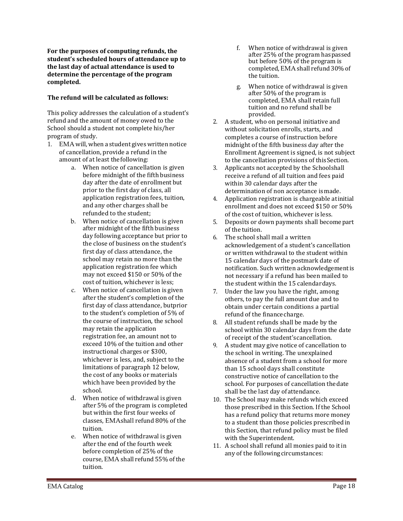**For the purposes of computing refunds, the student's scheduled hours of attendance up to the last day of actual attendance is used to determine the percentage of the program completed.**

#### **The refund will be calculated as follows:**

This policy addresses the calculation of a student's refund and the amount of money owed to the School should a student not complete his/her program of study.

- 1. EMA will,when a student gives written notice of cancellation, provide a refund in the amount of at least thefollowing:
	- a. When notice of cancellation is given before midnight of the fifth business day after the date of enrollment but prior to the first day of class, all application registration fees, tuition, and any other charges shall be refunded to the student;
	- b. When notice of cancellation is given after midnight of the fifth business day following acceptance but prior to the close of business on the student's first day of class attendance, the school may retain no more than the application registration fee which may not exceed \$150 or 50% of the cost of tuition, whichever is less;
	- c. When notice of cancellation is given after the student's completion of the first day of class attendance, butprior to the student's completion of 5% of the course of instruction, the school may retain the application registration fee, an amount not to exceed 10% of the tuition and other instructional charges or \$300, whichever is less, and, subject to the limitations of paragraph 12 below, the cost of any books or materials which have been provided by the school.
	- d. When notice of withdrawal is given after 5% of the program is completed but within the first four weeks of classes, EMAshall refund 80% of the tuition.
	- e. When notice of withdrawal is given after the end of the fourth week before completion of 25% of the course, EMA shall refund 55% of the tuition.
- f. When notice of withdrawal is given after 25% of the program haspassed but before 50% of the program is completed,EMA shall refund 30% of the tuition.
- g. When notice of withdrawal is given after 50% of the program is completed, EMA shall retain full tuition and no refund shall be provided.
- 2. A student, who on personal initiative and without solicitation enrolls, starts, and completes a course of instruction before midnight of the fifth business day after the Enrollment Agreement is signed, is not subject to the cancellation provisions of this Section.
- 3. Applicants not accepted by the Schoolshall receive a refund of all tuition and fees paid within 30 calendar days after the determination of non acceptance ismade.
- 4. Application registration is chargeable atinitial enrollment and does not exceed \$150 or 50% of the cost of tuition, whichever is less.
- 5. Deposits or down payments shall becomepart of the tuition.
- 6. The school shall mail a written acknowledgement of a student's cancellation or written withdrawal to the student within 15 calendar days of the postmark date of notification. Such written acknowledgementis not necessary if a refund has been mailed to the student within the 15 calendardays.
- 7. Under the law you have the right, among others, to pay the full amount due and to obtain under certain conditions a partial refund of the financecharge.
- 8. All student refunds shall be made by the school within 30 calendar days from the date of receipt of the student'scancellation.
- 9. A student may give notice of cancellation to the school in writing. The unexplained absence of a student from a school for more than 15 school days shall constitute constructive notice of cancellation to the school. For purposes of cancellation thedate shall be the last day of attendance.
- 10. The School may make refunds which exceed those prescribed in this Section. If the School has a refund policy that returns more money to a student than those policies prescribedin this Section, that refund policy must be filed with the Superintendent.
- 11. A school shall refund all monies paid to itin any of the following circumstances: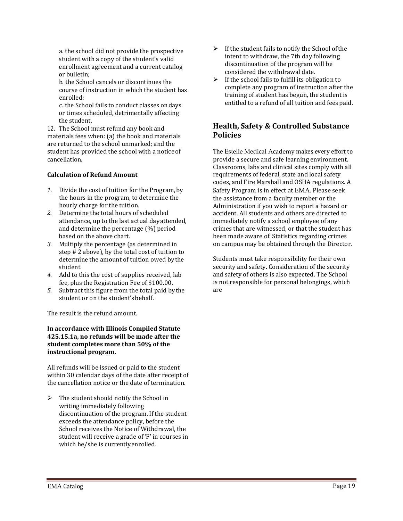a. the school did not provide the prospective student with a copy of the student's valid enrollment agreement and a current catalog or bulletin;

b. the School cancels or discontinues the course of instruction in which the student has enrolled;

c. the School fails to conduct classes ondays or times scheduled, detrimentally affecting the student.

12. The School must refund any book and materials fees when: (a) the book and materials are returned to the school unmarked; and the student has provided the school with a noticeof cancellation.

#### **Calculation of Refund Amount**

- *1.* Divide the cost of tuition for the Program,by the hours in the program, to determine the hourly charge for the tuition.
- *2.* Determine the total hours of scheduled attendance, up to the last actual dayattended, and determine the percentage (%) period based on the above chart.
- *3.* Multiply the percentage (as determined in step # 2 above), by the total cost of tuition to determine the amount of tuition owed bythe student.
- *4.* Add to this the cost of supplies received, lab fee, plus the Registration Fee of \$100.00.
- *5.* Subtract this figure from the total paid bythe student or on the student'sbehalf.

The result is the refund amount.

#### **In accordance with Illinois Compiled Statute 425.15.1a, no refunds will be made after the student completes more than 50% of the instructional program.**

All refunds will be issued or paid to the student within 30 calendar days of the date after receipt of the cancellation notice or the date of termination.

 $\triangleright$  The student should notify the School in writing immediately following discontinuation of the program. If the student exceeds the attendance policy, before the School receives the Notice of Withdrawal, the student will receive a grade of 'F' in courses in which he/she is currentlyenrolled.

- $\triangleright$  If the student fails to notify the School of the intent to withdraw, the 7th day following discontinuation of the program will be considered the withdrawal date.
- $\triangleright$  If the school fails to fulfill its obligation to complete any program of instruction after the training of student has begun, the student is entitled to a refund of all tuition and fees paid.

### **Health, Safety & Controlled Substance Policies**

The Estelle Medical Academy makes every effort to provide a secure and safe learning environment. Classrooms, labs and clinical sites comply with all requirements of federal, state and local safety codes, and Fire Marshall and OSHA regulations. A Safety Program is in effect at EMA. Please seek the assistance from a faculty member or the Administration if you wish to report a hazard or accident. All students and others are directed to immediately notify a school employee of any crimes that are witnessed, or that the student has been made aware of. Statistics regarding crimes on campus may be obtained through the Director.

Students must take responsibility for their own security and safety. Consideration of the security and safety of others is also expected. The School is not responsible for personal belongings, which are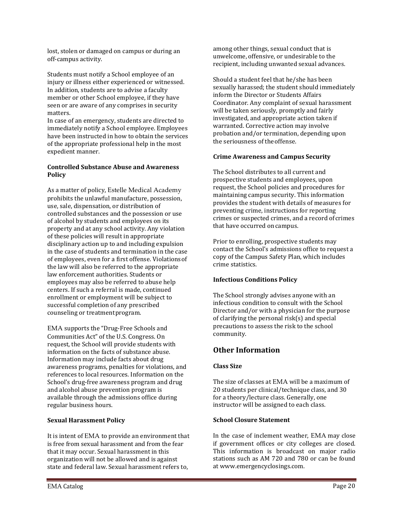lost, stolen or damaged on campus or during an off‐campus activity.

Students must notify a School employee of an injury or illness either experienced or witnessed. In addition, students are to advise a faculty member or other School employee, if they have seen or are aware of any comprises in security matters.

In case of an emergency, students are directed to immediately notify a School employee. Employees have been instructed in how to obtain the services of the appropriate professional help in the most expedient manner.

#### **Controlled Substance Abuse and Awareness Policy**

As a matter of policy, Estelle Medical Academy prohibits the unlawful manufacture, possession, use, sale, dispensation, or distribution of controlled substances and the possession or use of alcohol by students and employees on its property and at any school activity. Any violation of these policies will result in appropriate disciplinary action up to and including expulsion in the case of students and termination in the case of employees, even for a first offense. Violationsof the law will also be referred to the appropriate law enforcement authorities. Students or employees may also be referred to abuse help centers. If such a referral is made, continued enrollment or employment will be subject to successful completion of any prescribed counseling or treatmentprogram.

EMA supports the "Drug‐Free Schools and Communities Act" of the U.S. Congress. On request, the School will provide students with information on the facts of substance abuse. Information may include facts about drug awareness programs, penalties for violations, and references to local resources. Information on the School's drug‐free awareness program and drug and alcohol abuse prevention program is available through the admissions office during regular business hours.

#### **Sexual Harassment Policy**

It is intent of EMA to provide an environment that is free from sexual harassment and from the fear that it may occur. Sexual harassment in this organization will not be allowed and is against state and federal law. Sexual harassment refers to,

among other things, sexual conduct that is unwelcome, offensive, or undesirable to the recipient, including unwanted sexual advances.

Should a student feel that he/she has been sexually harassed; the student should immediately inform the Director or Students Affairs Coordinator. Any complaint of sexual harassment will be taken seriously, promptly and fairly investigated, and appropriate action taken if warranted. Corrective action may involve probation and/or termination, depending upon the seriousness of theoffense.

#### **Crime Awareness and Campus Security**

The School distributes to all current and prospective students and employees, upon request, the School policies and procedures for maintaining campus security. This information provides the student with details of measures for preventing crime, instructions for reporting crimes or suspected crimes, and a record ofcrimes that have occurred oncampus.

Prior to enrolling, prospective students may contact the School's admissions office to request a copy of the Campus Safety Plan, which includes crime statistics.

#### **Infectious Conditions Policy**

The School strongly advises anyone with an infectious condition to consult with the School Director and/or with a physician for the purpose of clarifying the personal risk(s) and special precautions to assess the risk to the school community.

### **Other Information**

#### **Class Size**

The size of classes at EMA will be a maximum of 20 students per clinical/technique class, and 30 for a theory/lecture class. Generally, one instructor will be assigned to each class.

#### **School Closure Statement**

In the case of inclement weather, EMA may close if government offices or city colleges are closed. This information is broadcast on major radio stations such as AM 720 and 780 or can be found a[t www.emergencyclosings.com.](http://www.emergencyclosings.com/)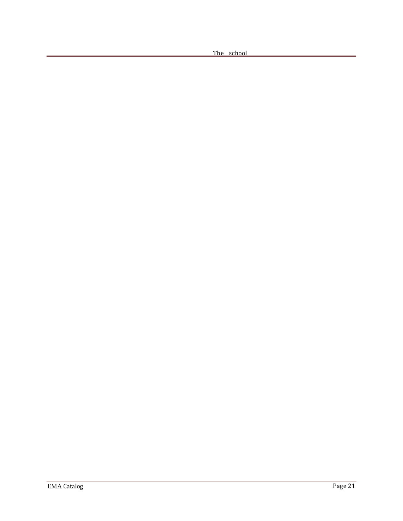The school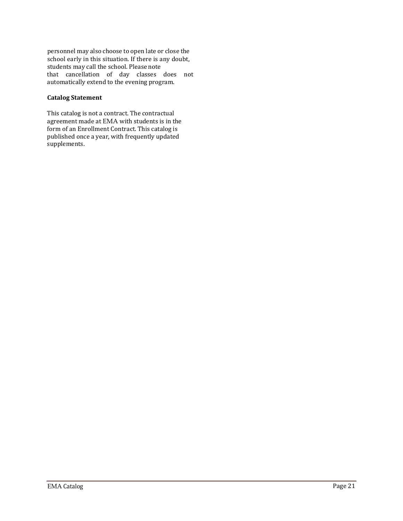personnel may also choose to open late or close the school early in this situation. If there is any doubt, students may call the school. Please note that cancellation of day classes does not automatically extend to the evening program.

#### **Catalog Statement**

This catalog is not a contract. The contractual agreement made at EMA with students is in the form of an Enrollment Contract. This catalog is published once a year, with frequently updated supplements.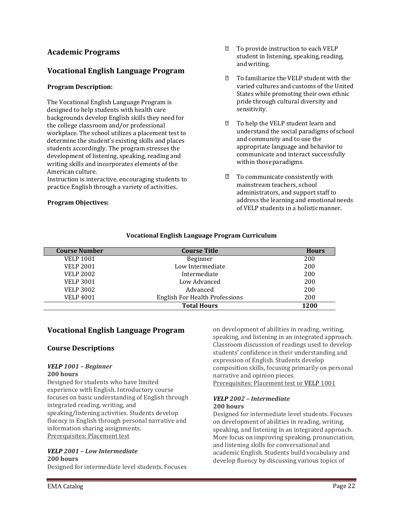### **Academic Programs**

### **Vocational English Language Program**

#### **Program Description:**

The Vocational English Language Program is designed to help students with health care backgrounds develop English skills they need for the college classroom and/or professional workplace. The school utilizes a placement test to determine the student's existing skills and places students accordingly. The program stresses the development of listening, speaking, reading and writing skills and incorporates elements of the American culture.

Instruction is interactive, encouraging students to practice English through a variety of activities.

#### **Program Objectives:**

- **To provide instruction to each VELP** student in listening, speaking, reading, andwriting.
- To familiarize the VELP student with the varied cultures and customs of the United States while promoting their own ethnic pride through cultural diversity and sensitivity.
- **To help the VELP student learn and** understand the social paradigms of school and community and to use the appropriate language and behavior to communicate and interact successfully within those paradigms.
- To communicate consistently with mainstream teachers, school administrators, and support staff to address the learning and emotionalneeds of VELP students in a holisticmanner.

#### **Vocational English Language Program Curriculum**

| <b>Course Number</b> | <b>Course Title</b>                   | <b>Hours</b> |  |
|----------------------|---------------------------------------|--------------|--|
| <b>VELP 1001</b>     | Beginner                              | 200          |  |
| <b>VELP 2001</b>     | Low Intermediate                      | 200          |  |
| <b>VELP 2002</b>     | Intermediate                          | 200          |  |
| <b>VELP 3001</b>     | Low Advanced                          | 200          |  |
| <b>VELP 3002</b>     | Advanced                              | 200          |  |
| <b>VELP 4001</b>     | <b>English For Health Professions</b> | 200          |  |
| <b>Total Hours</b>   |                                       | 1200         |  |

#### **Vocational English Language Program**

#### **Course Descriptions**

#### *VELP 1001 – Beginner* **200 hours**

Designed for students who have limited experience with English. Introductory course focuses on basic understanding of English through integrated reading, writing, and speaking/listening activities. Students develop fluency in English through personal narrative and information sharing assignments. Prerequisites: Placement test

### *VELP 2001 – Low Intermediate*

**200 hours** Designed for intermediate level students. Focuses on development of abilities in reading, writing, speaking, and listening in an integrated approach. Classroom discussion of readings used to develop students' confidence in their understanding and expression of English. Students develop composition skills, focusing primarily on personal narrative and opinion pieces. Prerequisites: Placement test or VELP 1001

#### *VELP 2002 – Intermediate* **200 hours**

Designed for intermediate level students. Focuses on development of abilities in reading, writing, speaking, and listening in an integrated approach. More focus on improving speaking, pronunciation, and listening skills for conversational and academic English. Students build vocabulary and develop fluency by discussing various topics of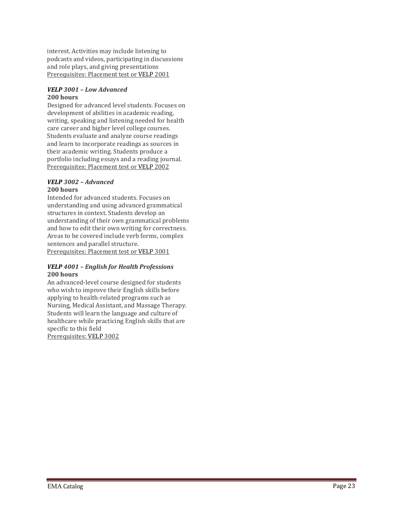interest. Activities may include listening to podcasts and videos, participating in discussions and role plays, and giving presentations Prerequisites: Placement test or VELP 2001

#### *VELP 3001 – Low Advanced* **200 hours**

Designed for advanced level students. Focuses on development of abilities in academic reading, writing, speaking and listening needed for health care career and higher level college courses. Students evaluate and analyze course readings and learn to incorporate readings as sources in their academic writing. Students produce a portfolio including essays and a reading journal. Prerequisites: Placement test or VELP 2002

#### *VELP 3002 – Advanced* **200 hours**

Intended for advanced students. Focuses on understanding and using advanced grammatical structures in context. Students develop an understanding of their own grammatical problems and how to edit their own writing for correctness. Areas to be covered include verb forms, complex sentences and parallel structure. Prerequisites: Placement test or VELP 3001

#### *VELP 4001 – English for Health Professions* **200 hours**

An advanced‐level course designed for students who wish to improve their English skills before applying to health‐related programs such as Nursing, Medical Assistant, and Massage Therapy. Students will learn the language and culture of healthcare while practicing English skills that are specific to this field Prerequisites: VELP 3002